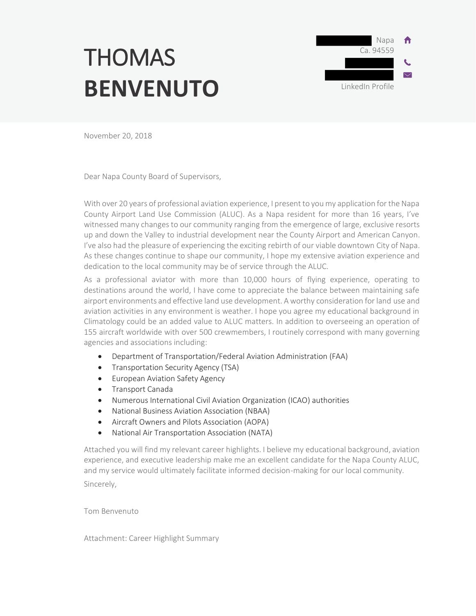# **THOMAS BENVENUTO**



November 20, 2018

Dear Napa County Board of Supervisors,

With over 20 years of professional aviation experience, I present to you my application for the Napa County Airport Land Use Commission (ALUC). As a Napa resident for more than 16 years, I've witnessed many changes to our community ranging from the emergence of large, exclusive resorts up and down the Valley to industrial development near the County Airport and American Canyon. I've also had the pleasure of experiencing the exciting rebirth of our viable downtown City of Napa. As these changes continue to shape our community, I hope my extensive aviation experience and dedication to the local community may be of service through the ALUC.

As a professional aviator with more than 10,000 hours of flying experience, operating to destinations around the world, I have come to appreciate the balance between maintaining safe airport environments and effective land use development. A worthy consideration for land use and aviation activities in any environment is weather. I hope you agree my educational background in Climatology could be an added value to ALUC matters. In addition to overseeing an operation of 155 aircraft worldwide with over 500 crewmembers, I routinely correspond with many governing agencies and associations including:

- Department of Transportation/Federal Aviation Administration (FAA)
- Transportation Security Agency (TSA)
- **•** European Aviation Safety Agency
- **•** Transport Canada
- Numerous International Civil Aviation Organization (ICAO) authorities
- National Business Aviation Association (NBAA)
- Aircraft Owners and Pilots Association (AOPA)
- National Air Transportation Association (NATA)

Attached you will find my relevant career highlights. I believe my educational background, aviation experience, and executive leadership make me an excellent candidate for the Napa County ALUC, and my service would ultimately facilitate informed decision-making for our local community. Sincerely,

Tom Benvenuto

Attachment: Career Highlight Summary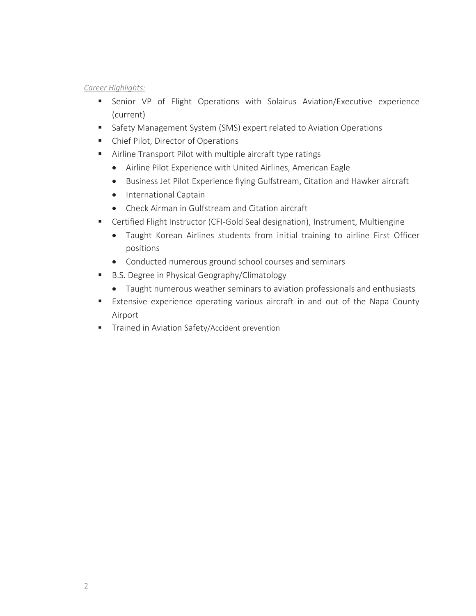# *Career Highlights:*

- Senior VP of Flight Operations with Solairus Aviation/Executive experience (current)
- **Safety Management System (SMS) expert related to Aviation Operations**
- Chief Pilot, Director of Operations
- Airline Transport Pilot with multiple aircraft type ratings
	- Airline Pilot Experience with United Airlines, American Eagle
	- Business Jet Pilot Experience flying Gulfstream, Citation and Hawker aircraft
	- International Captain
	- Check Airman in Gulfstream and Citation aircraft
- Certified Flight Instructor (CFI-Gold Seal designation), Instrument, Multiengine
	- Taught Korean Airlines students from initial training to airline First Officer positions
	- Conducted numerous ground school courses and seminars
- B.S. Degree in Physical Geography/Climatology
	- Taught numerous weather seminars to aviation professionals and enthusiasts
- Extensive experience operating various aircraft in and out of the Napa County Airport
- **Trained in Aviation Safety/Accident prevention**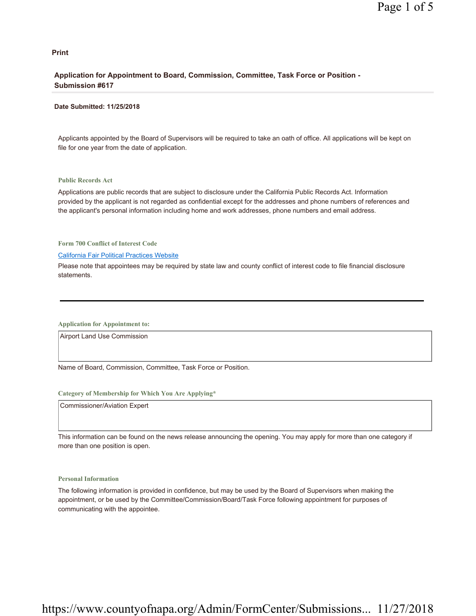### **Print**

### **Application for Appointment to Board, Commission, Committee, Task Force or Position - Submission #617**

### **Date Submitted: 11/25/2018**

Applicants appointed by the Board of Supervisors will be required to take an oath of office. All applications will be kept on file for one year from the date of application.

### **Public Records Act**

Applications are public records that are subject to disclosure under the California Public Records Act. Information provided by the applicant is not regarded as confidential except for the addresses and phone numbers of references and the applicant's personal information including home and work addresses, phone numbers and email address.

**Form 700 Conflict of Interest Code**

### California Fair Political Practices Website

Please note that appointees may be required by state law and county conflict of interest code to file financial disclosure statements.

**Application for Appointment to:** 

Airport Land Use Commission

Name of Board, Commission, Committee, Task Force or Position.

### **Category of Membership for Which You Are Applying\***

Commissioner/Aviation Expert

This information can be found on the news release announcing the opening. You may apply for more than one category if more than one position is open.

### **Personal Information**

The following information is provided in confidence, but may be used by the Board of Supervisors when making the appointment, or be used by the Committee/Commission/Board/Task Force following appointment for purposes of communicating with the appointee.

# https://www.countyofnapa.org/Admin/FormCenter/Submissions... 11/27/2018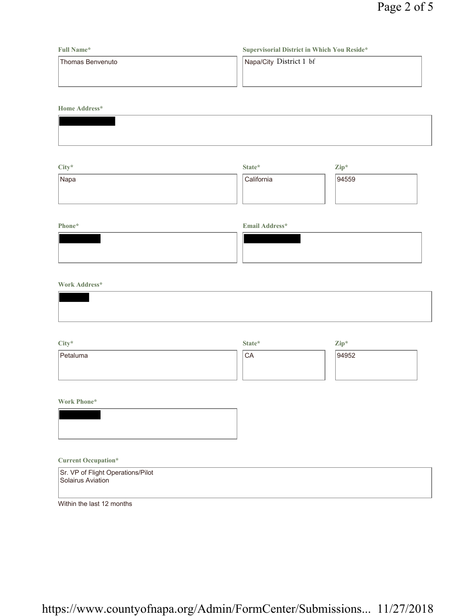| <b>Full Name*</b> | Supervisorial District in Which You Reside* |
|-------------------|---------------------------------------------|
| Thomas Benvenuto  | Napa/City District 1 bf                     |
|                   |                                             |
|                   |                                             |

**Home Address\***

| City* | State*     | Zip*  |
|-------|------------|-------|
| Napa  | California | 94559 |
|       |            |       |
|       |            |       |

# **Phone\* Email Address\***

# **Work Address\***

| City*    | State*          | Zip*  |
|----------|-----------------|-------|
| Petaluma | <sup>I</sup> CA | 94952 |
|          |                 |       |
|          |                 |       |

**Work Phone\***



### **Current Occupation\***

| Sr. VP of Flight Operations/Pilot<br>Solairus Aviation |  |
|--------------------------------------------------------|--|
| Within the last 12 months                              |  |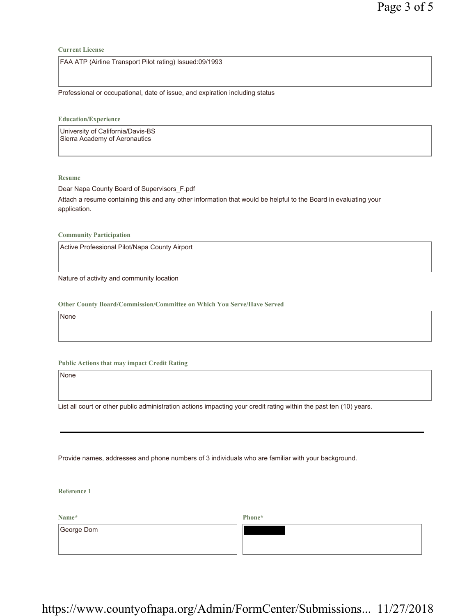**Current License**

FAA ATP (Airline Transport Pilot rating) Issued:09/1993

Professional or occupational, date of issue, and expiration including status

**Education/Experience**

University of California/Davis-BS Sierra Academy of Aeronautics

**Resume**

Dear Napa County Board of Supervisors\_F.pdf Attach a resume containing this and any other information that would be helpful to the Board in evaluating your application.

**Community Participation**

Active Professional Pilot/Napa County Airport

Nature of activity and community location

**Other County Board/Commission/Committee on Which You Serve/Have Served**

None

**Public Actions that may impact Credit Rating**

None

List all court or other public administration actions impacting your credit rating within the past ten (10) years.

Provide names, addresses and phone numbers of 3 individuals who are familiar with your background.

**Reference 1**

**Name\*** George Dom **Phone\***

https://www.countyofnapa.org/Admin/FormCenter/Submissions... 11/27/2018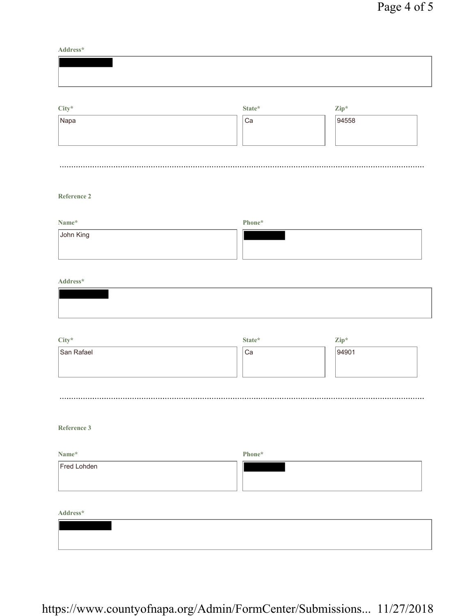**Address\***

| $\mathrm{City}^{\star}$ | $\textbf{State}^{\star}$ | $\mathbf{Zip}^*$ |  |
|-------------------------|--------------------------|------------------|--|
| Napa                    | Ca                       | 94558            |  |

# **Reference 2**

| Name*     | Phone* |
|-----------|--------|
| John King |        |
|           |        |
|           |        |

### **Address\***

| City*      | State* | $\mathbf{Zip}^*$ |
|------------|--------|------------------|
| San Rafael | Ca     | 94901            |
|            |        |                  |
|            |        |                  |

# **Reference 3**

| Name*       | Phone* |
|-------------|--------|
| Fred Lohden |        |
|             |        |
|             |        |

**Address\***